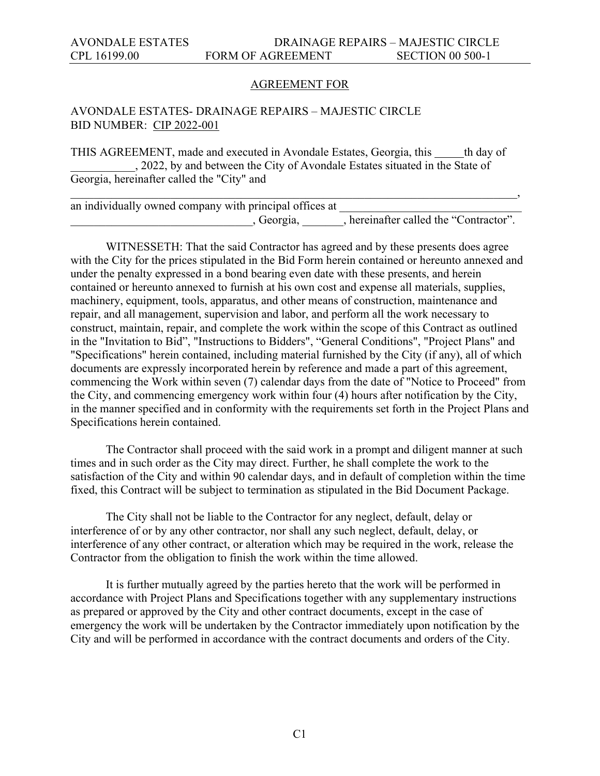#### AGREEMENT FOR

#### AVONDALE ESTATES- DRAINAGE REPAIRS – MAJESTIC CIRCLE BID NUMBER: CIP 2022-001

THIS AGREEMENT, made and executed in Avondale Estates, Georgia, this th day of \_\_\_\_\_\_\_\_\_\_\_, 2022, by and between the City of Avondale Estates situated in the State of Georgia, hereinafter called the "City" and

| an individually owned company with principal offices at |                                       |
|---------------------------------------------------------|---------------------------------------|
| Georgia,                                                | , hereinafter called the "Contractor" |

WITNESSETH: That the said Contractor has agreed and by these presents does agree with the City for the prices stipulated in the Bid Form herein contained or hereunto annexed and under the penalty expressed in a bond bearing even date with these presents, and herein contained or hereunto annexed to furnish at his own cost and expense all materials, supplies, machinery, equipment, tools, apparatus, and other means of construction, maintenance and repair, and all management, supervision and labor, and perform all the work necessary to construct, maintain, repair, and complete the work within the scope of this Contract as outlined in the "Invitation to Bid", "Instructions to Bidders", "General Conditions", "Project Plans" and "Specifications" herein contained, including material furnished by the City (if any), all of which documents are expressly incorporated herein by reference and made a part of this agreement, commencing the Work within seven (7) calendar days from the date of "Notice to Proceed" from the City, and commencing emergency work within four (4) hours after notification by the City, in the manner specified and in conformity with the requirements set forth in the Project Plans and Specifications herein contained.

 The Contractor shall proceed with the said work in a prompt and diligent manner at such times and in such order as the City may direct. Further, he shall complete the work to the satisfaction of the City and within 90 calendar days, and in default of completion within the time fixed, this Contract will be subject to termination as stipulated in the Bid Document Package.

 The City shall not be liable to the Contractor for any neglect, default, delay or interference of or by any other contractor, nor shall any such neglect, default, delay, or interference of any other contract, or alteration which may be required in the work, release the Contractor from the obligation to finish the work within the time allowed.

 It is further mutually agreed by the parties hereto that the work will be performed in accordance with Project Plans and Specifications together with any supplementary instructions as prepared or approved by the City and other contract documents, except in the case of emergency the work will be undertaken by the Contractor immediately upon notification by the City and will be performed in accordance with the contract documents and orders of the City.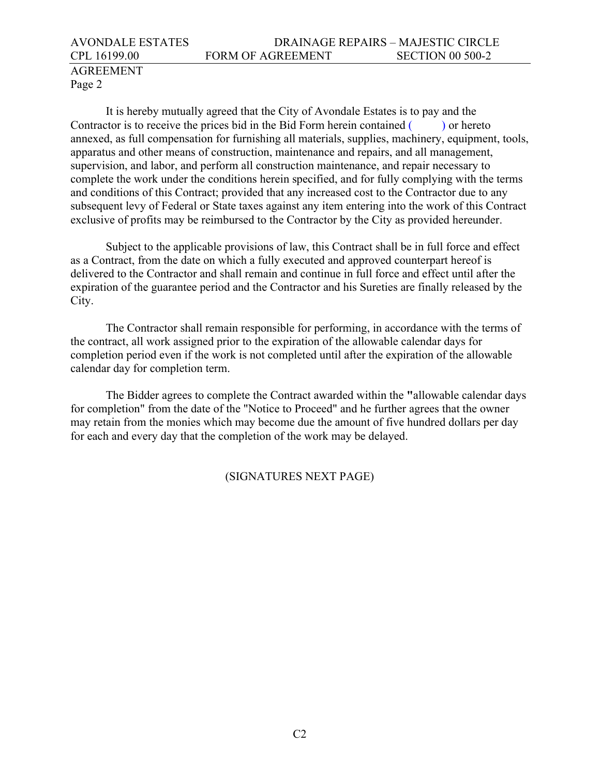## AVONDALE ESTATES DRAINAGE REPAIRS – MAJESTIC CIRCLE CPL 16199.00 FORM OF AGREEMENT SECTION 00 500-2 AGREEMENT

# Page 2

 It is hereby mutually agreed that the City of Avondale Estates is to pay and the Contractor is to receive the prices bid in the Bid Form herein contained () or hereto annexed, as full compensation for furnishing all materials, supplies, machinery, equipment, tools, apparatus and other means of construction, maintenance and repairs, and all management, supervision, and labor, and perform all construction maintenance, and repair necessary to complete the work under the conditions herein specified, and for fully complying with the terms and conditions of this Contract; provided that any increased cost to the Contractor due to any subsequent levy of Federal or State taxes against any item entering into the work of this Contract exclusive of profits may be reimbursed to the Contractor by the City as provided hereunder.

 Subject to the applicable provisions of law, this Contract shall be in full force and effect as a Contract, from the date on which a fully executed and approved counterpart hereof is delivered to the Contractor and shall remain and continue in full force and effect until after the expiration of the guarantee period and the Contractor and his Sureties are finally released by the City.

 The Contractor shall remain responsible for performing, in accordance with the terms of the contract, all work assigned prior to the expiration of the allowable calendar days for completion period even if the work is not completed until after the expiration of the allowable calendar day for completion term.

 The Bidder agrees to complete the Contract awarded within the **"**allowable calendar days for completion" from the date of the "Notice to Proceed" and he further agrees that the owner may retain from the monies which may become due the amount of five hundred dollars per day for each and every day that the completion of the work may be delayed.

### (SIGNATURES NEXT PAGE)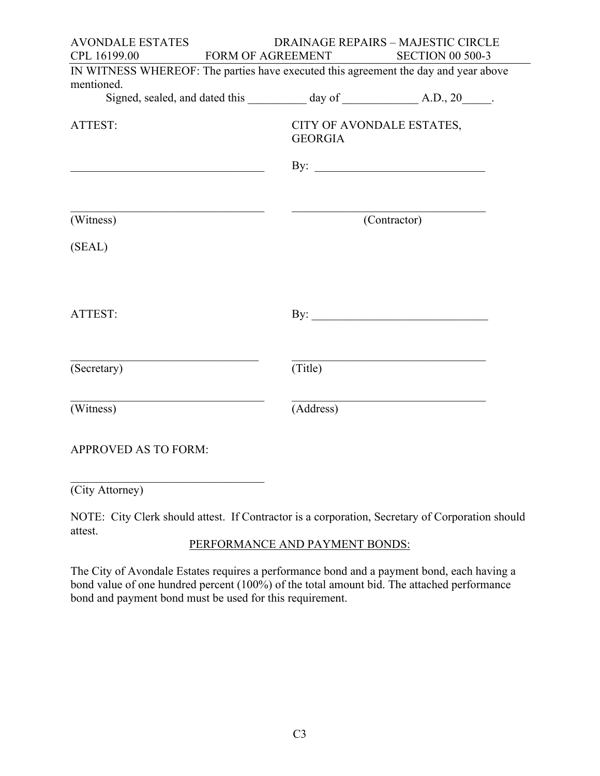| <b>AVONDALE ESTATES</b>     |                | <b>DRAINAGE REPAIRS - MAJESTIC CIRCLE</b>                                           |
|-----------------------------|----------------|-------------------------------------------------------------------------------------|
| CPL 16199.00                |                | FORM OF AGREEMENT SECTION 00 500-3                                                  |
|                             |                | IN WITNESS WHEREOF: The parties have executed this agreement the day and year above |
| mentioned.                  |                |                                                                                     |
|                             |                |                                                                                     |
| ATTEST:                     | <b>GEORGIA</b> | CITY OF AVONDALE ESTATES,<br>By: $\qquad \qquad$                                    |
| (Witness)<br>(SEAL)         |                | (Contractor)                                                                        |
| ATTEST:                     |                |                                                                                     |
| (Secretary)                 | (Title)        |                                                                                     |
| (Witness)                   | (Address)      |                                                                                     |
| <b>APPROVED AS TO FORM:</b> |                |                                                                                     |
|                             |                |                                                                                     |

NOTE: City Clerk should attest. If Contractor is a corporation, Secretary of Corporation should attest.

(City Attorney)

PERFORMANCE AND PAYMENT BONDS:

The City of Avondale Estates requires a performance bond and a payment bond, each having a bond value of one hundred percent (100%) of the total amount bid. The attached performance bond and payment bond must be used for this requirement.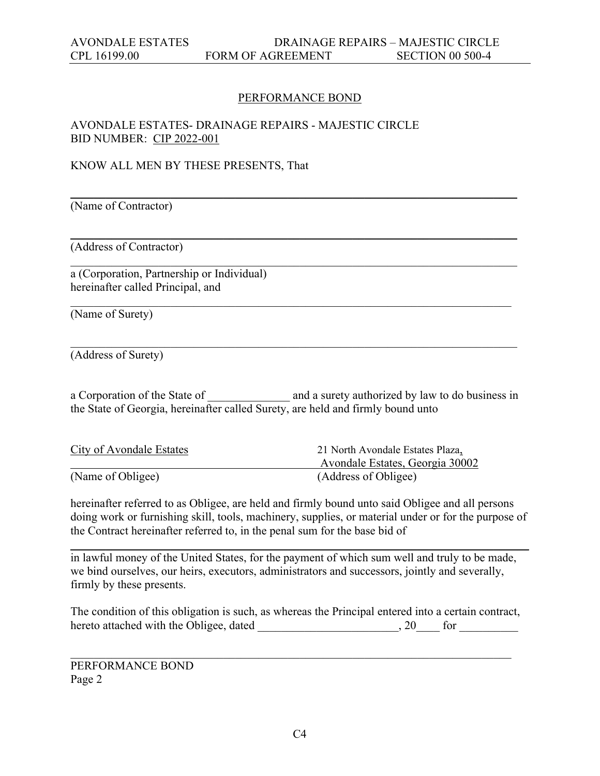#### PERFORMANCE BOND

\_\_\_\_\_\_\_\_\_\_\_\_\_\_\_\_\_\_\_\_\_\_\_\_\_\_\_\_\_\_\_\_\_\_\_\_\_\_\_\_\_\_\_\_\_\_\_\_\_\_\_\_\_\_\_\_\_\_\_\_\_\_\_\_\_\_\_\_\_\_\_\_\_\_\_\_

\_\_\_\_\_\_\_\_\_\_\_\_\_\_\_\_\_\_\_\_\_\_\_\_\_\_\_\_\_\_\_\_\_\_\_\_\_\_\_\_\_\_\_\_\_\_\_\_\_\_\_\_\_\_\_\_\_\_\_\_\_\_\_\_\_\_\_\_\_\_\_\_\_\_\_\_

\_\_\_\_\_\_\_\_\_\_\_\_\_\_\_\_\_\_\_\_\_\_\_\_\_\_\_\_\_\_\_\_\_\_\_\_\_\_\_\_\_\_\_\_\_\_\_\_\_\_\_\_\_\_\_\_\_\_\_\_\_\_\_\_\_\_\_\_\_\_\_\_\_\_\_\_

## AVONDALE ESTATES- DRAINAGE REPAIRS - MAJESTIC CIRCLE BID NUMBER: CIP 2022-001

#### KNOW ALL MEN BY THESE PRESENTS, That

(Name of Contractor)

(Address of Contractor)

a (Corporation, Partnership or Individual) hereinafter called Principal, and

(Name of Surety)

(Address of Surety)

a Corporation of the State of \_\_\_\_\_\_\_\_\_\_\_\_\_ and a surety authorized by law to do business in the State of Georgia, hereinafter called Surety, are held and firmly bound unto

\_\_\_\_\_\_\_\_\_\_\_\_\_\_\_\_\_\_\_\_\_\_\_\_\_\_\_\_\_\_\_\_\_\_\_\_\_\_\_\_\_\_\_\_\_\_\_\_\_\_\_\_\_\_\_\_\_\_\_\_\_\_\_\_\_\_\_\_\_\_\_\_\_\_\_\_

| <b>City of Avondale Estates</b> | 21 North Avondale Estates Plaza, |
|---------------------------------|----------------------------------|
|                                 | Avondale Estates, Georgia 30002  |
| (Name of Obligee)               | (Address of Obligee)             |

hereinafter referred to as Obligee, are held and firmly bound unto said Obligee and all persons doing work or furnishing skill, tools, machinery, supplies, or material under or for the purpose of the Contract hereinafter referred to, in the penal sum for the base bid of

\_\_\_\_\_\_\_\_\_\_\_\_\_\_\_\_\_\_\_\_\_\_\_\_\_\_\_\_\_\_\_\_\_\_\_\_\_\_\_\_\_\_\_\_\_\_\_\_\_\_\_\_\_\_\_\_\_\_\_\_\_\_\_\_\_\_\_\_\_\_\_\_\_\_\_\_\_\_

in lawful money of the United States, for the payment of which sum well and truly to be made, we bind ourselves, our heirs, executors, administrators and successors, jointly and severally, firmly by these presents.

The condition of this obligation is such, as whereas the Principal entered into a certain contract, hereto attached with the Obligee, dated \_\_\_\_\_\_\_\_\_\_\_\_\_\_\_\_\_\_\_\_\_, 20\_\_\_\_ for \_\_\_\_\_\_\_

\_\_\_\_\_\_\_\_\_\_\_\_\_\_\_\_\_\_\_\_\_\_\_\_\_\_\_\_\_\_\_\_\_\_\_\_\_\_\_\_\_\_\_\_\_\_\_\_\_\_\_\_\_\_\_\_\_\_\_\_\_\_\_\_\_\_\_\_\_\_\_\_\_\_\_

PERFORMANCE BOND Page 2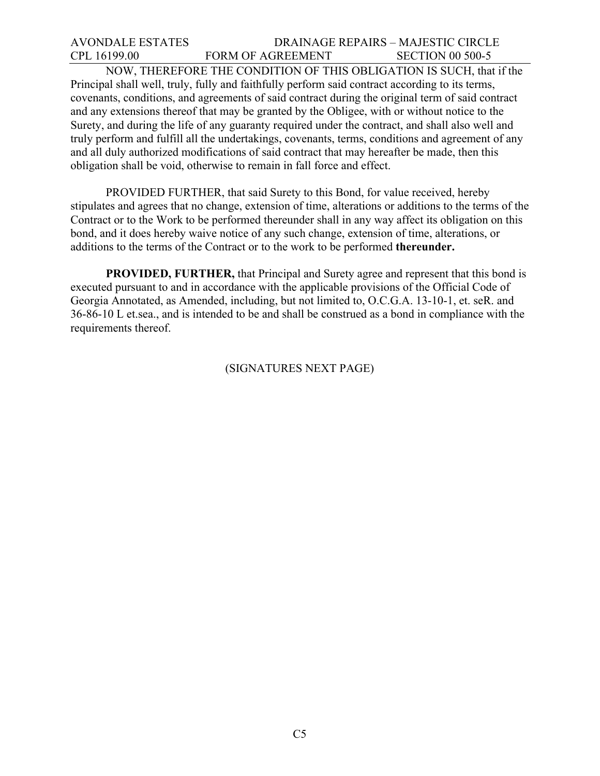## AVONDALE ESTATES DRAINAGE REPAIRS – MAJESTIC CIRCLE CPL 16199.00 FORM OF AGREEMENT SECTION 00 500-5

 NOW, THEREFORE THE CONDITION OF THIS OBLIGATION IS SUCH, that if the Principal shall well, truly, fully and faithfully perform said contract according to its terms, covenants, conditions, and agreements of said contract during the original term of said contract and any extensions thereof that may be granted by the Obligee, with or without notice to the Surety, and during the life of any guaranty required under the contract, and shall also well and truly perform and fulfill all the undertakings, covenants, terms, conditions and agreement of any and all duly authorized modifications of said contract that may hereafter be made, then this obligation shall be void, otherwise to remain in fall force and effect.

 PROVIDED FURTHER, that said Surety to this Bond, for value received, hereby stipulates and agrees that no change, extension of time, alterations or additions to the terms of the Contract or to the Work to be performed thereunder shall in any way affect its obligation on this bond, and it does hereby waive notice of any such change, extension of time, alterations, or additions to the terms of the Contract or to the work to be performed **thereunder.** 

**PROVIDED, FURTHER,** that Principal and Surety agree and represent that this bond is executed pursuant to and in accordance with the applicable provisions of the Official Code of Georgia Annotated, as Amended, including, but not limited to, O.C.G.A. 13-10-1, et. seR. and 36-86-10 L et.sea., and is intended to be and shall be construed as a bond in compliance with the requirements thereof.

(SIGNATURES NEXT PAGE)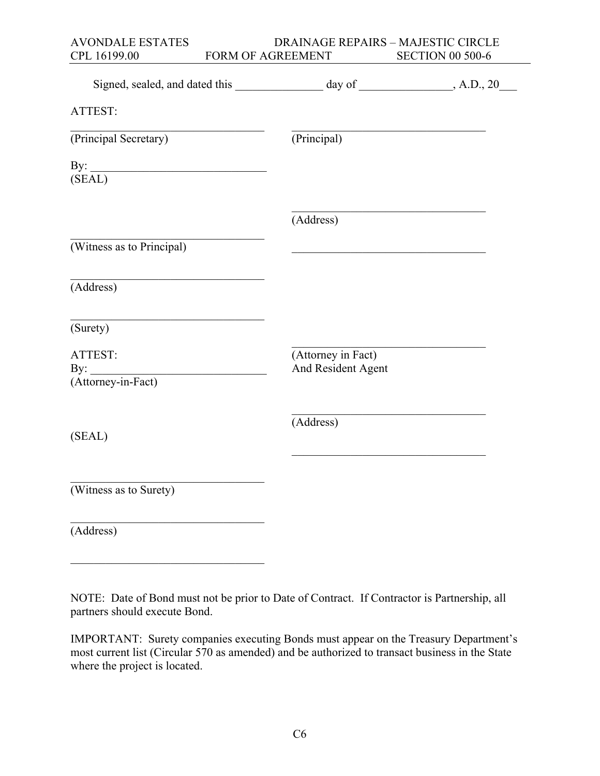| <b>AVONDALE ESTATES</b>                              | DRAINAGE REPAIRS - MAJESTIC CIRCLE                                                                                     |                         |
|------------------------------------------------------|------------------------------------------------------------------------------------------------------------------------|-------------------------|
| CPL 16199.00                                         | FORM OF AGREEMENT                                                                                                      | <b>SECTION 00 500-6</b> |
|                                                      | Signed, sealed, and dated this _____________________ day of ______________, A.D., 20_                                  |                         |
| ATTEST:                                              |                                                                                                                        |                         |
| (Principal Secretary)                                | (Principal)                                                                                                            |                         |
| By:<br>(SEAL)                                        |                                                                                                                        |                         |
|                                                      | (Address)                                                                                                              |                         |
| (Witness as to Principal)                            | <u> 1950 - Johann John Stoff, deutscher Stoffen und der Stoffen und der Stoffen und der Stoffen und der Stoffen un</u> |                         |
| (Address)                                            |                                                                                                                        |                         |
| (Surety)                                             |                                                                                                                        |                         |
| ATTEST:<br>By: $\qquad \qquad$<br>(Attorney-in-Fact) | (Attorney in Fact)<br>And Resident Agent                                                                               |                         |
| (SEAL)                                               | (Address)                                                                                                              |                         |
| (Witness as to Surety)                               |                                                                                                                        |                         |
| (Address)                                            |                                                                                                                        |                         |

 $\mathcal{L}$  , which is a set of the set of the set of the set of the set of the set of the set of the set of the set of the set of the set of the set of the set of the set of the set of the set of the set of the set of the s

NOTE: Date of Bond must not be prior to Date of Contract. If Contractor is Partnership, all partners should execute Bond.

IMPORTANT: Surety companies executing Bonds must appear on the Treasury Department's most current list (Circular 570 as amended) and be authorized to transact business in the State where the project is located.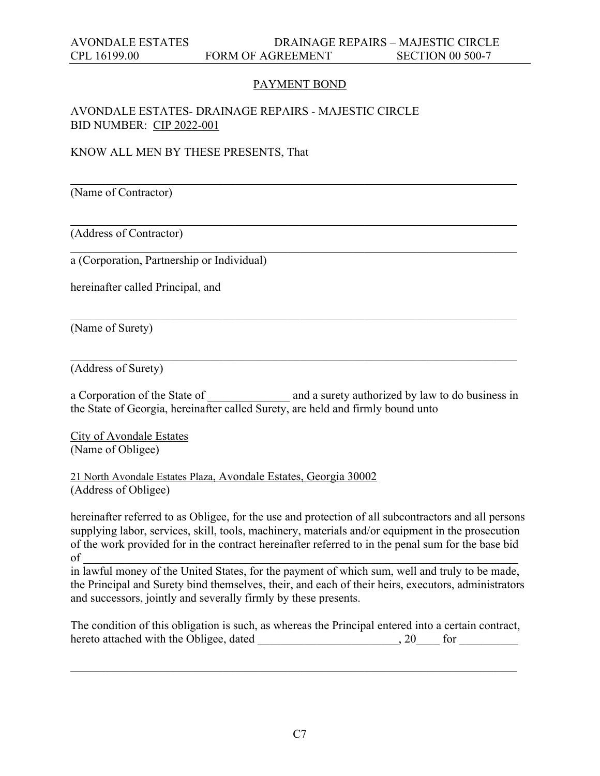## PAYMENT BOND

\_\_\_\_\_\_\_\_\_\_\_\_\_\_\_\_\_\_\_\_\_\_\_\_\_\_\_\_\_\_\_\_\_\_\_\_\_\_\_\_\_\_\_\_\_\_\_\_\_\_\_\_\_\_\_\_\_\_\_\_\_\_\_\_\_\_\_\_\_\_\_\_\_\_\_\_

\_\_\_\_\_\_\_\_\_\_\_\_\_\_\_\_\_\_\_\_\_\_\_\_\_\_\_\_\_\_\_\_\_\_\_\_\_\_\_\_\_\_\_\_\_\_\_\_\_\_\_\_\_\_\_\_\_\_\_\_\_\_\_\_\_\_\_\_\_\_\_\_\_\_\_\_

\_\_\_\_\_\_\_\_\_\_\_\_\_\_\_\_\_\_\_\_\_\_\_\_\_\_\_\_\_\_\_\_\_\_\_\_\_\_\_\_\_\_\_\_\_\_\_\_\_\_\_\_\_\_\_\_\_\_\_\_\_\_\_\_\_\_\_\_\_\_\_\_\_\_\_\_

\_\_\_\_\_\_\_\_\_\_\_\_\_\_\_\_\_\_\_\_\_\_\_\_\_\_\_\_\_\_\_\_\_\_\_\_\_\_\_\_\_\_\_\_\_\_\_\_\_\_\_\_\_\_\_\_\_\_\_\_\_\_\_\_\_\_\_\_\_\_\_\_\_\_\_\_

\_\_\_\_\_\_\_\_\_\_\_\_\_\_\_\_\_\_\_\_\_\_\_\_\_\_\_\_\_\_\_\_\_\_\_\_\_\_\_\_\_\_\_\_\_\_\_\_\_\_\_\_\_\_\_\_\_\_\_\_\_\_\_\_\_\_\_\_\_\_\_\_\_\_\_\_

#### AVONDALE ESTATES- DRAINAGE REPAIRS - MAJESTIC CIRCLE BID NUMBER: CIP 2022-001

KNOW ALL MEN BY THESE PRESENTS, That

(Name of Contractor)

(Address of Contractor)

a (Corporation, Partnership or Individual)

hereinafter called Principal, and

(Name of Surety)

(Address of Surety)

a Corporation of the State of \_\_\_\_\_\_\_\_\_\_\_\_\_ and a surety authorized by law to do business in the State of Georgia, hereinafter called Surety, are held and firmly bound unto

City of Avondale Estates (Name of Obligee)

21 North Avondale Estates Plaza, Avondale Estates, Georgia 30002 (Address of Obligee)

hereinafter referred to as Obligee, for the use and protection of all subcontractors and all persons supplying labor, services, skill, tools, machinery, materials and/or equipment in the prosecution of the work provided for in the contract hereinafter referred to in the penal sum for the base bid of \_\_\_\_\_\_\_\_\_\_\_\_\_\_\_\_\_\_\_\_\_\_\_\_\_\_\_\_\_\_\_\_\_\_\_\_\_\_\_\_\_\_\_\_\_\_\_\_\_\_\_\_\_\_\_\_\_\_\_\_\_\_\_\_\_\_\_\_\_\_\_\_\_\_

in lawful money of the United States, for the payment of which sum, well and truly to be made, the Principal and Surety bind themselves, their, and each of their heirs, executors, administrators and successors, jointly and severally firmly by these presents.

The condition of this obligation is such, as whereas the Principal entered into a certain contract, hereto attached with the Obligee, dated \_\_\_\_\_\_\_\_\_\_\_\_\_\_\_\_\_\_\_\_\_\_, 20\_\_\_\_ for \_\_\_\_\_\_\_\_\_\_\_\_

\_\_\_\_\_\_\_\_\_\_\_\_\_\_\_\_\_\_\_\_\_\_\_\_\_\_\_\_\_\_\_\_\_\_\_\_\_\_\_\_\_\_\_\_\_\_\_\_\_\_\_\_\_\_\_\_\_\_\_\_\_\_\_\_\_\_\_\_\_\_\_\_\_\_\_\_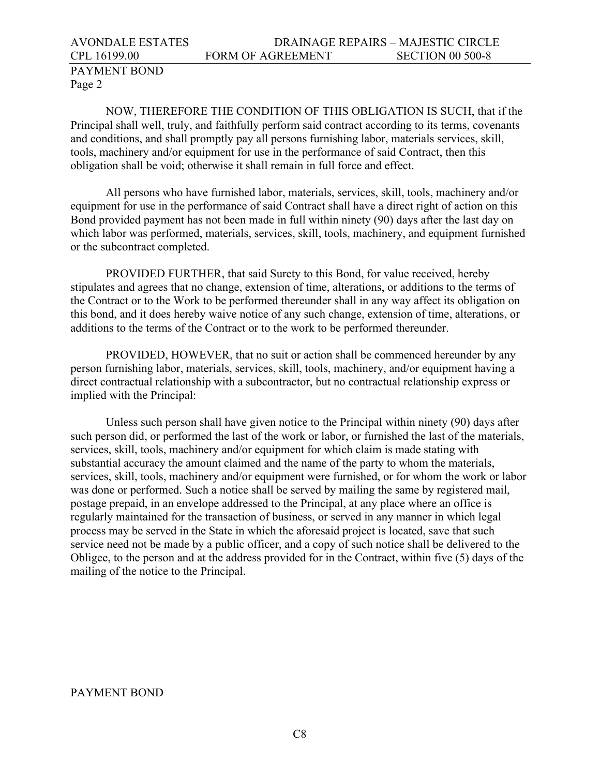# AVONDALE ESTATES DRAINAGE REPAIRS – MAJESTIC CIRCLE CPL 16199.00 FORM OF AGREEMENT SECTION 00 500-8

# PAYMENT BOND Page 2

NOW, THEREFORE THE CONDITION OF THIS OBLIGATION IS SUCH, that if the Principal shall well, truly, and faithfully perform said contract according to its terms, covenants and conditions, and shall promptly pay all persons furnishing labor, materials services, skill, tools, machinery and/or equipment for use in the performance of said Contract, then this obligation shall be void; otherwise it shall remain in full force and effect.

All persons who have furnished labor, materials, services, skill, tools, machinery and/or equipment for use in the performance of said Contract shall have a direct right of action on this Bond provided payment has not been made in full within ninety (90) days after the last day on which labor was performed, materials, services, skill, tools, machinery, and equipment furnished or the subcontract completed.

PROVIDED FURTHER, that said Surety to this Bond, for value received, hereby stipulates and agrees that no change, extension of time, alterations, or additions to the terms of the Contract or to the Work to be performed thereunder shall in any way affect its obligation on this bond, and it does hereby waive notice of any such change, extension of time, alterations, or additions to the terms of the Contract or to the work to be performed thereunder.

PROVIDED, HOWEVER, that no suit or action shall be commenced hereunder by any person furnishing labor, materials, services, skill, tools, machinery, and/or equipment having a direct contractual relationship with a subcontractor, but no contractual relationship express or implied with the Principal:

Unless such person shall have given notice to the Principal within ninety (90) days after such person did, or performed the last of the work or labor, or furnished the last of the materials, services, skill, tools, machinery and/or equipment for which claim is made stating with substantial accuracy the amount claimed and the name of the party to whom the materials, services, skill, tools, machinery and/or equipment were furnished, or for whom the work or labor was done or performed. Such a notice shall be served by mailing the same by registered mail, postage prepaid, in an envelope addressed to the Principal, at any place where an office is regularly maintained for the transaction of business, or served in any manner in which legal process may be served in the State in which the aforesaid project is located, save that such service need not be made by a public officer, and a copy of such notice shall be delivered to the Obligee, to the person and at the address provided for in the Contract, within five (5) days of the mailing of the notice to the Principal.

## PAYMENT BOND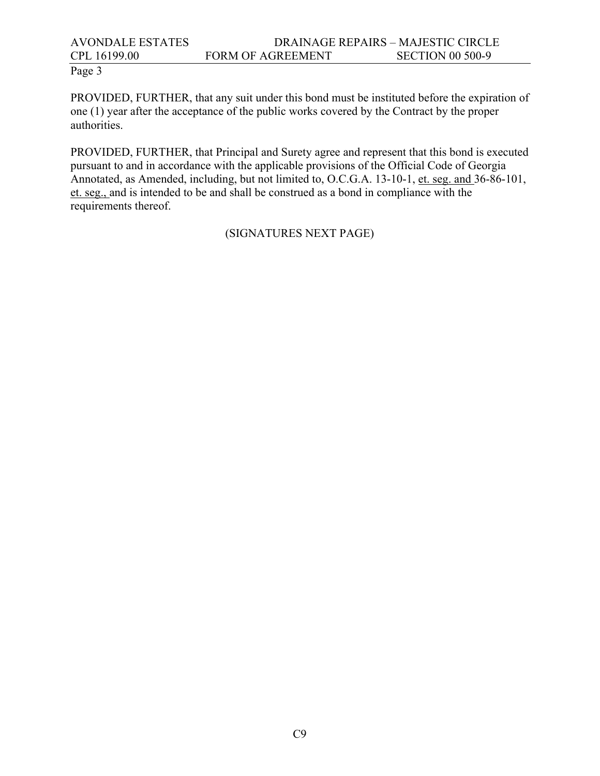# AVONDALE ESTATES DRAINAGE REPAIRS – MAJESTIC CIRCLE CPL 16199.00 FORM OF AGREEMENT SECTION 00 500-9

## Page 3

PROVIDED, FURTHER, that any suit under this bond must be instituted before the expiration of one (1) year after the acceptance of the public works covered by the Contract by the proper authorities.

PROVIDED, FURTHER, that Principal and Surety agree and represent that this bond is executed pursuant to and in accordance with the applicable provisions of the Official Code of Georgia Annotated, as Amended, including, but not limited to, O.C.G.A. 13-10-1, et. seg. and 36-86-101, et. seg., and is intended to be and shall be construed as a bond in compliance with the requirements thereof.

#### (SIGNATURES NEXT PAGE)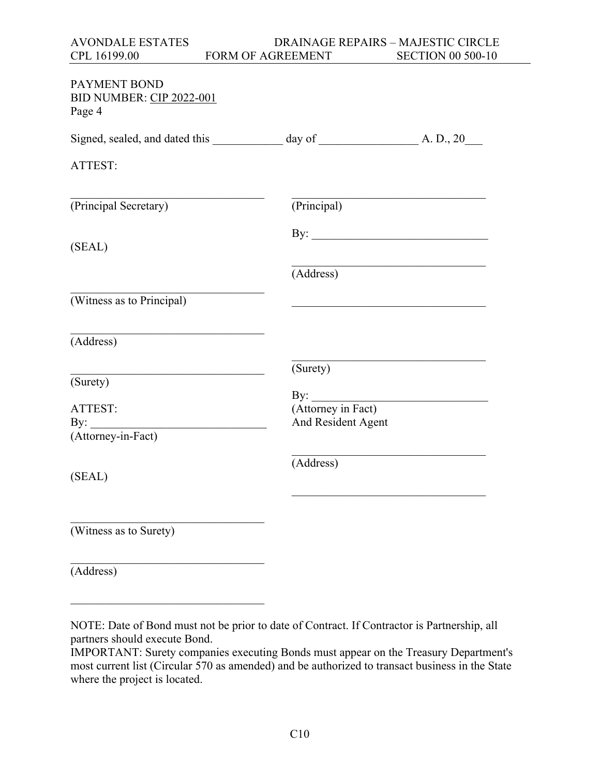| AVONDALE ESTATES | DRAINAGE REPAIRS – MAJESTIC CIRCLE |                          |
|------------------|------------------------------------|--------------------------|
| CPL 16199.00     | <b>FORM OF AGREEMENT</b>           | <b>SECTION 00 500-10</b> |

| PAYMENT BOND<br>BID NUMBER: CIP 2022-001<br>Page 4 |                               |  |
|----------------------------------------------------|-------------------------------|--|
|                                                    |                               |  |
| ATTEST:                                            |                               |  |
| (Principal Secretary)                              | (Principal)                   |  |
| (SEAL)                                             |                               |  |
|                                                    | (Address)                     |  |
| (Witness as to Principal)                          |                               |  |
| (Address)                                          |                               |  |
|                                                    | (Surety)                      |  |
| (Surety)                                           |                               |  |
| ATTEST:                                            | By: <u>(Attorney in Fact)</u> |  |
| By: $\qquad \qquad$<br>(Attorney-in-Fact)          | And Resident Agent            |  |
| (SEAL)                                             | (Address)                     |  |
| $\overline{\text{(Witness as to Surely)}}$         |                               |  |
| (Address)                                          |                               |  |

NOTE: Date of Bond must not be prior to date of Contract. If Contractor is Partnership, all partners should execute Bond.

 $\mathcal{L}$  , which is a set of the set of the set of the set of the set of the set of the set of the set of the set of the set of the set of the set of the set of the set of the set of the set of the set of the set of the s

IMPORTANT: Surety companies executing Bonds must appear on the Treasury Department's most current list (Circular 570 as amended) and be authorized to transact business in the State where the project is located.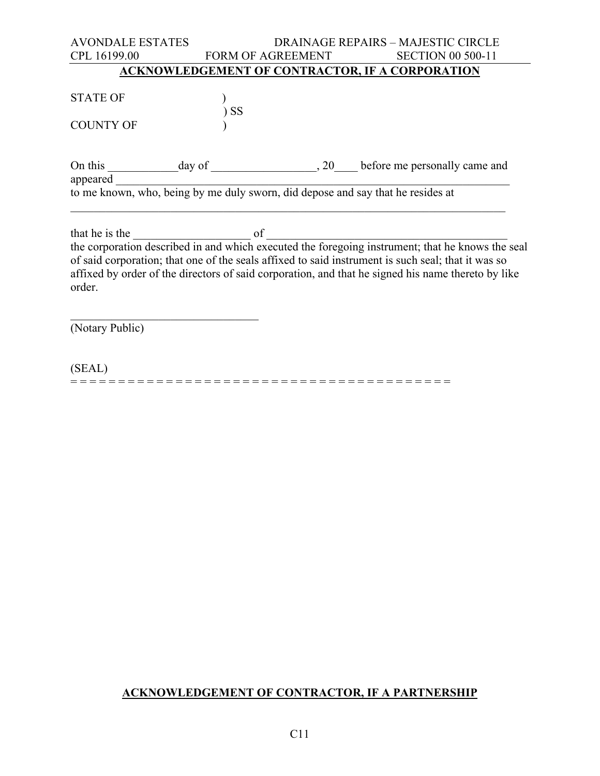| <b>AVONDALE ESTATES</b>                                                         |        |                   | <b>DRAINAGE REPAIRS - MAJESTIC CIRCLE</b>                                                          |
|---------------------------------------------------------------------------------|--------|-------------------|----------------------------------------------------------------------------------------------------|
| CPL 16199.00                                                                    |        | FORM OF AGREEMENT | <b>SECTION 00 500-11</b>                                                                           |
|                                                                                 |        |                   | <b>ACKNOWLEDGEMENT OF CONTRACTOR, IF A CORPORATION</b>                                             |
|                                                                                 |        |                   |                                                                                                    |
| <b>STATE OF</b>                                                                 |        |                   |                                                                                                    |
|                                                                                 | $)$ SS |                   |                                                                                                    |
| <b>COUNTY OF</b>                                                                |        |                   |                                                                                                    |
|                                                                                 |        |                   |                                                                                                    |
|                                                                                 |        |                   |                                                                                                    |
| appeared                                                                        |        |                   |                                                                                                    |
| to me known, who, being by me duly sworn, did depose and say that he resides at |        |                   |                                                                                                    |
|                                                                                 |        |                   |                                                                                                    |
| that he is the                                                                  | of     |                   |                                                                                                    |
|                                                                                 |        |                   | the corporation described in and which executed the foregoing instrument; that he knows the seal   |
|                                                                                 |        |                   | of said corporation; that one of the seals affixed to said instrument is such seal; that it was so |
|                                                                                 |        |                   | affixed by order of the directors of said corporation, and that he signed his name thereto by like |
| order.                                                                          |        |                   |                                                                                                    |
|                                                                                 |        |                   |                                                                                                    |
| (Notary Public)                                                                 |        |                   |                                                                                                    |
|                                                                                 |        |                   |                                                                                                    |

(SEAL) = = = = = = = = = = = = = = = = = = = = = = = = = = = = = = = = = = = = = = = =

# **ACKNOWLEDGEMENT OF CONTRACTOR, IF A PARTNERSHIP**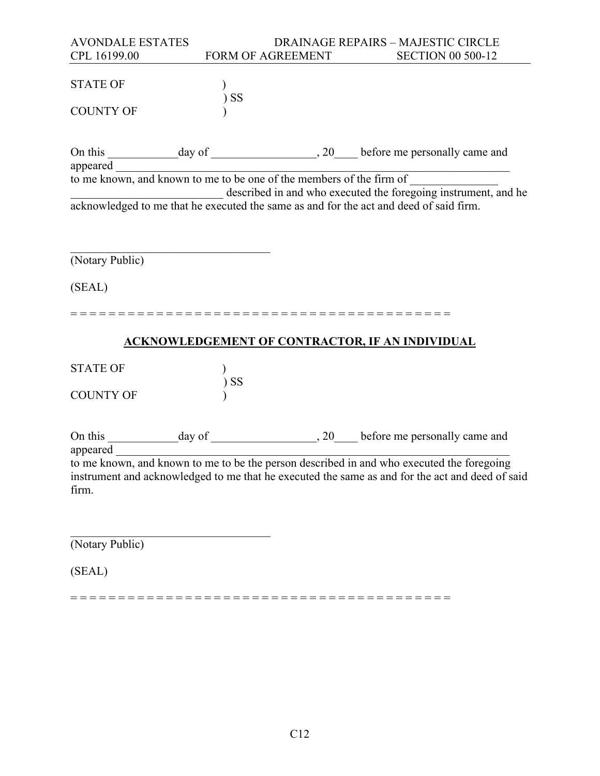| <b>AVONDALE ESTATES</b> |                          | <b>DRAINAGE REPAIRS - MAJESTIC CIRCLE</b>                                                                           |
|-------------------------|--------------------------|---------------------------------------------------------------------------------------------------------------------|
| CPL 16199.00            | <b>FORM OF AGREEMENT</b> | <b>SECTION 00 500-12</b>                                                                                            |
|                         |                          |                                                                                                                     |
| <b>STATE OF</b>         |                          |                                                                                                                     |
|                         | $)$ SS                   |                                                                                                                     |
| <b>COUNTY OF</b>        |                          |                                                                                                                     |
|                         |                          |                                                                                                                     |
|                         |                          |                                                                                                                     |
|                         |                          | On this day of day of the members of the firm of the known, and known to me to be one of the members of the firm of |
|                         |                          |                                                                                                                     |
|                         |                          |                                                                                                                     |
|                         |                          | described in and who executed the foregoing instrument, and he                                                      |
|                         |                          | acknowledged to me that he executed the same as and for the act and deed of said firm.                              |
|                         |                          |                                                                                                                     |
|                         |                          |                                                                                                                     |
| (Notary Public)         |                          |                                                                                                                     |
|                         |                          |                                                                                                                     |
| (SEAL)                  |                          |                                                                                                                     |
|                         |                          |                                                                                                                     |
|                         |                          |                                                                                                                     |
|                         |                          |                                                                                                                     |
|                         |                          | <b>ACKNOWLEDGEMENT OF CONTRACTOR, IF AN INDIVIDUAL</b>                                                              |
|                         |                          |                                                                                                                     |
| <b>STATE OF</b>         |                          |                                                                                                                     |
|                         | $)$ SS                   |                                                                                                                     |
| <b>COUNTY OF</b>        |                          |                                                                                                                     |
|                         |                          |                                                                                                                     |
|                         |                          |                                                                                                                     |
|                         |                          |                                                                                                                     |
| appeared                |                          |                                                                                                                     |
|                         |                          | to me known, and known to me to be the person described in and who executed the foregoing                           |
|                         |                          | instrument and acknowledged to me that he executed the same as and for the act and deed of said                     |
| firm.                   |                          |                                                                                                                     |
|                         |                          |                                                                                                                     |
|                         |                          |                                                                                                                     |
|                         |                          |                                                                                                                     |

(Notary Public)

(SEAL)

= = = = = = = = = = = = = = = = = = = = = = = = = = = = = = = = = = = = = = = =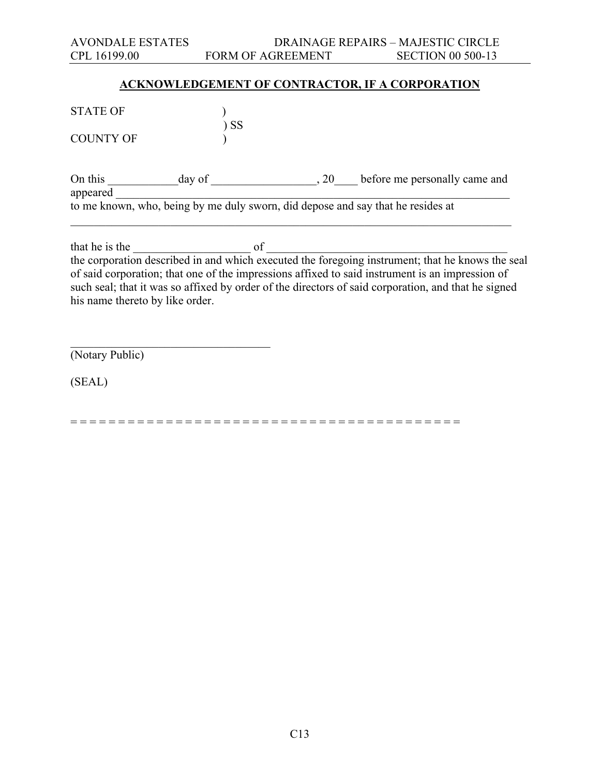## **ACKNOWLEDGEMENT OF CONTRACTOR, IF A CORPORATION**

| <b>STATE OF</b>     |        | -SS |                                                                                 |
|---------------------|--------|-----|---------------------------------------------------------------------------------|
| <b>COUNTY OF</b>    |        |     |                                                                                 |
| On this<br>appeared | day of | 20  | before me personally came and                                                   |
|                     |        |     | to me known, who, being by me duly sworn, did depose and say that he resides at |

that he is the  $\frac{1}{\sqrt{2}}$  of  $\frac{1}{\sqrt{2}}$  of  $\frac{1}{\sqrt{2}}$ the corporation described in and which executed the foregoing instrument; that he knows the seal of said corporation; that one of the impressions affixed to said instrument is an impression of such seal; that it was so affixed by order of the directors of said corporation, and that he signed his name thereto by like order.

(Notary Public)

 $\overline{\phantom{a}}$  , and the set of the set of the set of the set of the set of the set of the set of the set of the set of the set of the set of the set of the set of the set of the set of the set of the set of the set of the s

(SEAL)

= = = = = = = = = = = = = = = = = = = = = = = = = = = = = = = = = = = = = = = = =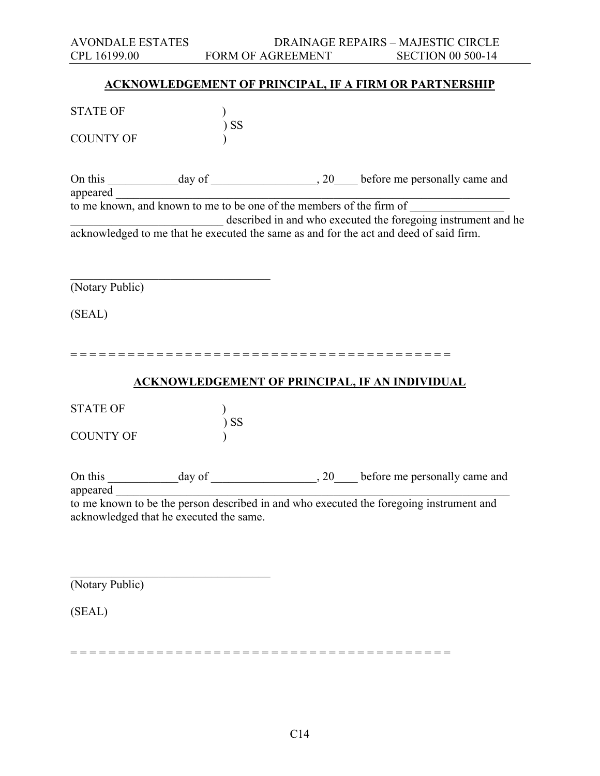| <b>AVONDALE ESTATES</b>                                              |           |                   | DRAINAGE REPAIRS - MAJESTIC CIRCLE                                                                                                                      |  |
|----------------------------------------------------------------------|-----------|-------------------|---------------------------------------------------------------------------------------------------------------------------------------------------------|--|
| CPL 16199.00                                                         |           | FORM OF AGREEMENT | <b>SECTION 00 500-14</b>                                                                                                                                |  |
|                                                                      |           |                   |                                                                                                                                                         |  |
|                                                                      |           |                   | <b>ACKNOWLEDGEMENT OF PRINCIPAL, IF A FIRM OR PARTNERSHIP</b>                                                                                           |  |
| <b>STATE OF</b>                                                      | <b>SS</b> |                   |                                                                                                                                                         |  |
| <b>COUNTY OF</b>                                                     |           |                   |                                                                                                                                                         |  |
| On this                                                              |           |                   |                                                                                                                                                         |  |
| appeared                                                             |           |                   |                                                                                                                                                         |  |
| to me known, and known to me to be one of the members of the firm of |           |                   |                                                                                                                                                         |  |
|                                                                      |           |                   | described in and who executed the foregoing instrument and he<br>acknowledged to me that he executed the same as and for the act and deed of said firm. |  |
|                                                                      |           |                   |                                                                                                                                                         |  |
| (Notary Public)                                                      |           |                   |                                                                                                                                                         |  |
|                                                                      |           |                   |                                                                                                                                                         |  |
| (SEAL)                                                               |           |                   |                                                                                                                                                         |  |
|                                                                      |           |                   |                                                                                                                                                         |  |
|                                                                      |           |                   |                                                                                                                                                         |  |
|                                                                      |           |                   | <b>ACKNOWLEDGEMENT OF PRINCIPAL, IF AN INDIVIDUAL</b>                                                                                                   |  |
| <b>STATE OF</b>                                                      |           |                   |                                                                                                                                                         |  |
|                                                                      | <b>SS</b> |                   |                                                                                                                                                         |  |
| <b>COUNTY OF</b>                                                     |           |                   |                                                                                                                                                         |  |
|                                                                      |           |                   |                                                                                                                                                         |  |
| On this                                                              |           |                   |                                                                                                                                                         |  |
| appeared                                                             |           |                   |                                                                                                                                                         |  |
| acknowledged that he executed the same.                              |           |                   | to me known to be the person described in and who executed the foregoing instrument and                                                                 |  |
|                                                                      |           |                   |                                                                                                                                                         |  |
|                                                                      |           |                   |                                                                                                                                                         |  |
|                                                                      |           |                   |                                                                                                                                                         |  |
| (Notary Public)                                                      |           |                   |                                                                                                                                                         |  |

(SEAL)

= = = = = = = = = = = = = = = = = = = = = = = = = = = = = = = = = = = = = = = =